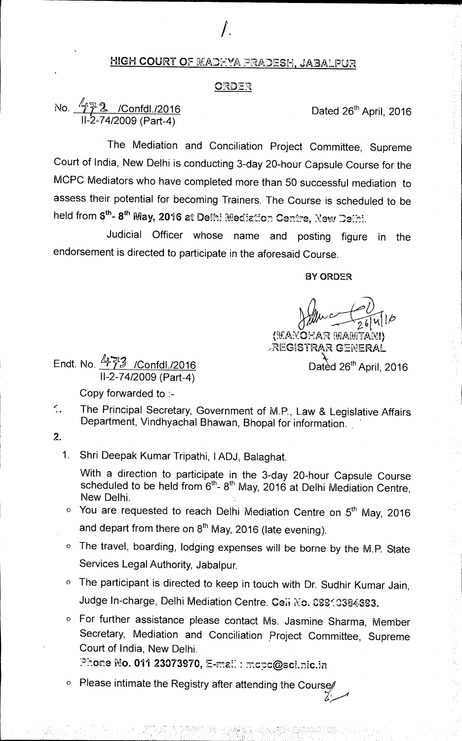### HIGH COURT **OF.** LIFLAD:-:YA, PRADESH, JA3AL.PUR

*I.* 

#### ORDER

# No.  $\frac{7772}{1000}$  /Confdl./2016 11-2-74/2009 (Part-4)

The Mediation and Conciliation Project Committee, Supreme Court of India, New Delhi is conducting 3-day 20-hour Capsule Course for the MCPC Mediators who have completed more than 50 successful mediation to assess their potential for becoming Trainers. The Course is scheduled to be held from 6<sup>th</sup>- 8<sup>th</sup> May, 2016 at Delhi Mediation Centre, New Delhi.

Judicial Officer whose name and posting figure in the endorsement is directed to participate in the aforesaid Course.

**BY ORDER** 

(KANOHAR MAMTANI) ,REGfiSTRAR GENERAL

Dated 26<sup>th</sup> April, 2016

Endt. No. 473 /Confdl./2016 11-2-74/2009 (Part-4)

Copy forwarded to :-

The Principal Secretary, Government of M.P., Law & Legislative Affairs  $\mathcal{L}_{\mathbf{L}}$ Department, Vindhyachal Bhawan, Bhopal for information.

2.

1. Shri Deepak Kumar Tripathi, 1ADJ, Balaghat.

With a direction to participate in the 3-day 20-hour Capsule Course scheduled to be held from  $6<sup>th</sup>$ - 8<sup>th</sup> May, 2016 at Delhi Mediation Centre, New Delhi.

- $\circ$  You are requested to reach Delhi Mediation Centre on  $5<sup>th</sup>$  May, 2016 and depart from there on  $8<sup>th</sup>$  May, 2016 (late evening).
- o The travel, boarding, lodging expenses will be borne by the M.P. State Services Legal Authority, Jabalpur.
- o The participant is directed to keep in touch with Dr. Sudhir Kumar Jain, Judge In-charge, Delhi Mediation Centre. Ceii No. CSS10384693.

o For further assistance please contact Ms. Jasmine Sharma, Member Secretary, Mediation and Conciliation Project Committee, Supreme Court of India, New Delhi.

Zang de la provincia de la provincia de la provincia de la provincia de la provincia de la provincia de la pro<br>La provincia de la provincia de la provincia de la provincia de la provincia de la provincia de la provincia d

Phone No. 011 23073970, E-mail: mcpc@sci.nic.in

 $\circ$  Please intimate the Registry after attending the Course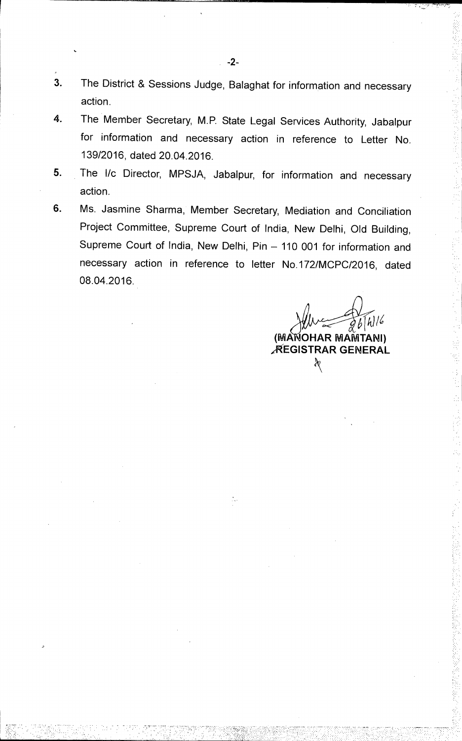- 3. The District & Sessions Judge, Balaghat for information and necessary action.
- 4. The Member Secretary, M.P. State Legal Services Authority, Jabalpur for information and necessary action in reference to Letter No. 139/2016, dated 20.04.2016.
- 5. The l/c Director, MPSJA, Jabalpur, for information and necessary action.
- 6. Ms. Jasmine Sharma, Member Secretary, Mediation and Conciliation Project Committee, Supreme Court of India, New Delhi, Old Building, Supreme Court of India, New Delhi, Pin — 110 001 for information and necessary action in reference to letter No.172/MCPC/2016, dated 08.04.2016.

**It)** 16 **(MA OHAR MAMTANI) ,REGISTRAR GENERAL** X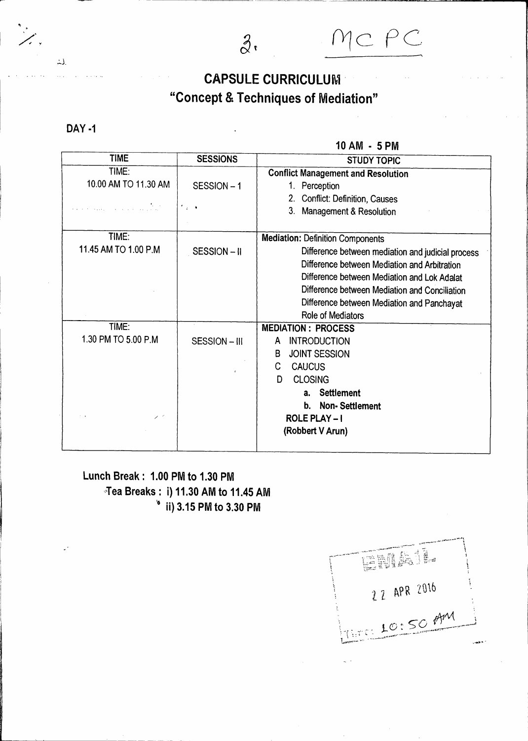# **CAPSULE CURRICULUM "Concept & Techniques of Mediation"**

**DAY -1** 

 $\Delta$ 

**10 AM - 5 PM** 

MC PC

| <b>TIME</b>                             | <b>SESSIONS</b>                 | <b>STUDY TOPIC</b>                                |
|-----------------------------------------|---------------------------------|---------------------------------------------------|
| TIME:                                   |                                 | <b>Conflict Management and Resolution</b>         |
| 10.00 AM TO 11.30 AM                    | SESSION-1                       | 1. Perception                                     |
|                                         |                                 | <b>Conflict: Definition, Causes</b><br>2.         |
| an<br>San Salawan (San Salawan Salawan) | $\mathcal{F}_{\mathcal{A}}$ . A | 3. Management & Resolution                        |
|                                         |                                 |                                                   |
| TIME:                                   |                                 | <b>Mediation: Definition Components</b>           |
| 11.45 AM TO 1.00 P.M                    | SESSION-II                      | Difference between mediation and judicial process |
|                                         |                                 | Difference between Mediation and Arbitration      |
|                                         |                                 | Difference between Mediation and Lok Adalat       |
|                                         |                                 | Difference between Mediation and Conciliation     |
|                                         |                                 | Difference between Mediation and Panchayat        |
|                                         |                                 | Role of Mediators                                 |
| TIME:                                   |                                 | <b>MEDIATION: PROCESS</b>                         |
| 1.30 PM TO 5.00 P.M                     | SESSION-III                     | <b>INTRODUCTION</b><br>A.                         |
|                                         |                                 | <b>JOINT SESSION</b><br>B                         |
|                                         | $\epsilon$                      | C<br><b>CAUCUS</b>                                |
|                                         |                                 | <b>CLOSING</b><br>D.                              |
|                                         |                                 | <b>Settlement</b><br>а.                           |
|                                         |                                 | b. Non-Settlement                                 |
|                                         |                                 | <b>ROLE PLAY-1</b>                                |
|                                         |                                 | (Robbert V Arun)                                  |
|                                         |                                 |                                                   |

### **Lunch Break: 1.00 PM to 1.30 PM Tea Breaks: i) 11.30 AM to 11.45 AM 4ii) 3.15 PM to 3.30 PM**

EMA! 22 APR 2016 <u>INTER LOISO</u> AM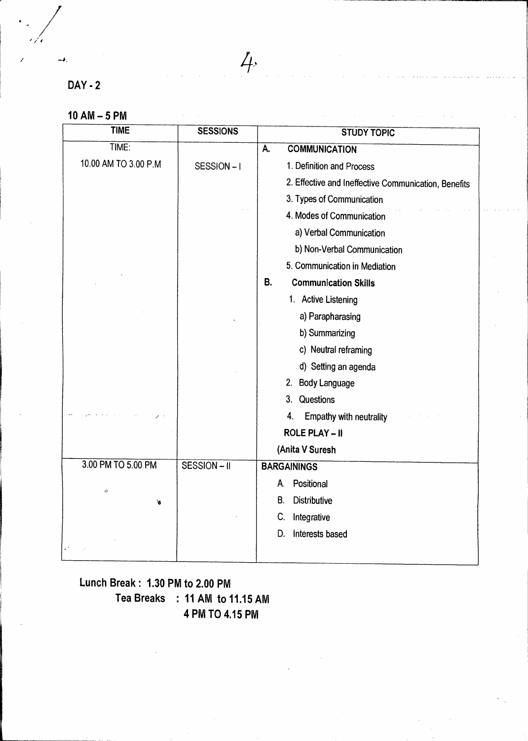**DAY -2** 

"≱,

|  |  |  | $10$ AM $-$ 5 PM |  |
|--|--|--|------------------|--|
|--|--|--|------------------|--|

| <b>TIME</b>          | <b>SESSIONS</b> | <b>STUDY TOPIC</b>                                   |
|----------------------|-----------------|------------------------------------------------------|
| TIME:                |                 | А.<br><b>COMMUNICATION</b>                           |
| 10.00 AM TO 3.00 P.M | SESSION-I       | 1. Definition and Process                            |
|                      |                 | 2. Effective and Ineffective Communication, Benefits |
|                      |                 | 3. Types of Communication                            |
|                      |                 | 4. Modes of Communication                            |
|                      |                 | a) Verbal Communication                              |
|                      |                 | b) Non-Verbal Communication                          |
|                      |                 | 5. Communication in Mediation                        |
|                      |                 | <b>B.</b><br><b>Communication Skills</b>             |
|                      |                 | 1. Active Listening                                  |
|                      |                 | a) Parapharasing                                     |
|                      |                 | b) Summarizing                                       |
|                      |                 | c) Neutral reframing                                 |
|                      |                 | d) Setting an agenda                                 |
|                      |                 | 2. Body Language                                     |
|                      |                 | 3. Questions                                         |
|                      |                 | 4.<br>Empathy with neutrality                        |
|                      |                 | <b>ROLE PLAY - II</b>                                |
|                      |                 | (Anita V Suresh                                      |
| 3.00 PM TO 5.00 PM   | SESSION-II      | <b>BARGAININGS</b>                                   |
| Ý,                   |                 | Positional<br>А.                                     |
| 6                    |                 | <b>Distributive</b><br>В.                            |
|                      |                 | C.<br>Integrative                                    |
|                      |                 | Interests based<br>D.                                |
|                      |                 |                                                      |

 $4.4$ 

# **Lunch Break: 1.30 PM to 2.00 PM Tea Breaks : 11 AM to 11.15 AM 4 PM TO 4.15 PM**